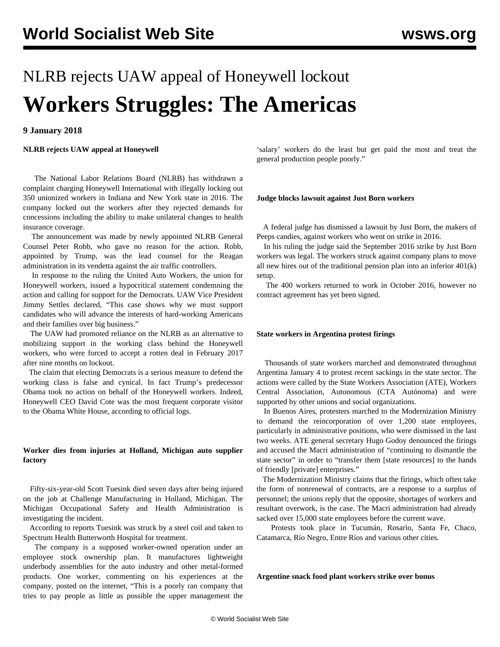# NLRB rejects UAW appeal of Honeywell lockout **Workers Struggles: The Americas**

# **9 January 2018**

**NLRB rejects UAW appeal at Honeywell**

 The National Labor Relations Board (NLRB) has withdrawn a complaint charging Honeywell International with illegally locking out 350 unionized workers in Indiana and New York state in 2016. The company locked out the workers after they rejected demands for concessions including the ability to make unilateral changes to health insurance coverage.

 The announcement was made by newly appointed NLRB General Counsel Peter Robb, who gave no reason for the action. Robb, appointed by Trump, was the lead counsel for the Reagan administration in its vendetta against the air traffic controllers.

 In response to the ruling the United Auto Workers, the union for Honeywell workers, issued a hypocritical statement condemning the action and calling for support for the Democrats. UAW Vice President Jimmy Settles declared, "This case shows why we must support candidates who will advance the interests of hard-working Americans and their families over big business."

 The UAW had promoted reliance on the NLRB as an alternative to mobilizing support in the working class behind the Honeywell workers, who were forced to accept a rotten deal in February 2017 after nine months on lockout.

 The claim that electing Democrats is a serious measure to defend the working class is false and cynical. In fact Trump's predecessor Obama took no action on behalf of the Honeywell workers. Indeed, Honeywell CEO David Cote was the most frequent corporate visitor to the Obama White House, according to official logs.

# **Worker dies from injuries at Holland, Michigan auto supplier factory**

 Fifty-six-year-old Scott Tuesink died seven days after being injured on the job at Challenge Manufacturing in Holland, Michigan. The Michigan Occupational Safety and Health Administration is investigating the incident.

 According to reports Tuesink was struck by a steel coil and taken to Spectrum Health Butterworth Hospital for treatment.

 The company is a supposed worker-owned operation under an employee stock ownership plan. It manufactures lightweight underbody assemblies for the auto industry and other metal-formed products. One worker, commenting on his experiences at the company, posted on the internet, "This is a poorly ran company that tries to pay people as little as possible the upper management the

'salary' workers do the least but get paid the most and treat the general production people poorly."

### **Judge blocks lawsuit against Just Born workers**

 A federal judge has dismissed a lawsuit by Just Born, the makers of Peeps candies, against workers who went on strike in 2016.

 In his ruling the judge said the September 2016 strike by Just Born workers was legal. The workers struck against company plans to move all new hires out of the traditional pension plan into an inferior 401(k) setup.

 The 400 workers returned to work in October 2016, however no contract agreement has yet been signed.

#### **State workers in Argentina protest firings**

 Thousands of state workers marched and demonstrated throughout Argentina January 4 to protest recent sackings in the state sector. The actions were called by the State Workers Association (ATE), Workers Central Association, Autonomous (CTA Autónoma) and were supported by other unions and social organizations.

 In Buenos Aires, protesters marched to the Modernization Ministry to demand the reincorporation of over 1,200 state employees, particularly in administrative positions, who were dismissed in the last two weeks. ATE general secretary Hugo Godoy denounced the firings and accused the Macri administration of "continuing to dismantle the state sector" in order to "transfer them [state resources] to the hands of friendly [private] enterprises."

 The Modernization Ministry claims that the firings, which often take the form of nonrenewal of contracts, are a response to a surplus of personnel; the unions reply that the opposite, shortages of workers and resultant overwork, is the case. The Macri administration had already sacked over 15,000 state employees before the current wave.

 Protests took place in Tucumán, Rosario, Santa Fe, Chaco, Catamarca, Río Negro, Entre Ríos and various other cities.

**Argentine snack food plant workers strike over bonus**